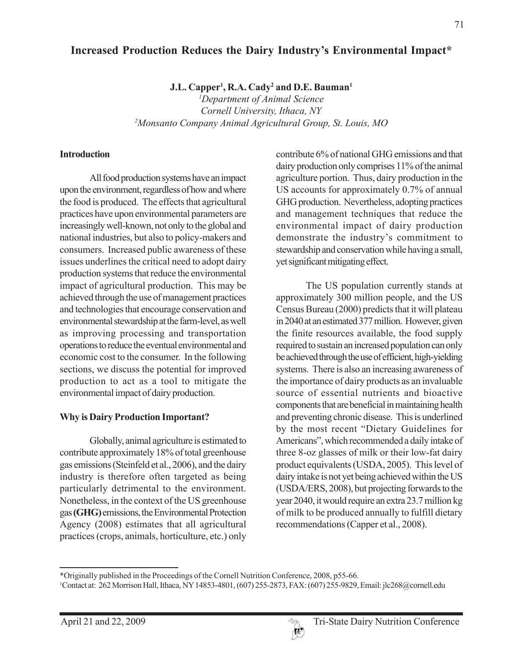# **Increased Production Reduces the Dairy Industry's Environmental Impact\***

**J.L. Capper1 , R.A. Cady2 and D.E. Bauman1**

*1 Department of Animal Science Cornell University, Ithaca, NY 2 Monsanto Company Animal Agricultural Group, St. Louis, MO*

### **Introduction**

All food production systems have an impact upon the environment, regardless of how and where the food is produced. The effects that agricultural practices have upon environmental parameters are increasingly well-known, not only to the global and national industries, but also to policy-makers and consumers. Increased public awareness of these issues underlines the critical need to adopt dairy production systems that reduce the environmental impact of agricultural production. This may be achieved through the use of management practices and technologies that encourage conservation and environmental stewardship at the farm-level, as well as improving processing and transportation operations to reduce the eventual environmental and economic cost to the consumer. In the following sections, we discuss the potential for improved production to act as a tool to mitigate the environmental impact of dairy production.

# **Why is Dairy Production Important?**

Globally, animal agriculture is estimated to contribute approximately 18% of total greenhouse gas emissions (Steinfeld et al., 2006), and the dairy industry is therefore often targeted as being particularly detrimental to the environment. Nonetheless, in the context of the US greenhouse gas **(GHG)** emissions, the Environmental Protection Agency (2008) estimates that all agricultural practices (crops, animals, horticulture, etc.) only contribute 6% of national GHG emissions and that dairy production only comprises 11% of the animal agriculture portion. Thus, dairy production in the US accounts for approximately 0.7% of annual GHG production. Nevertheless, adopting practices and management techniques that reduce the environmental impact of dairy production demonstrate the industry's commitment to stewardship and conservation while having a small, yet significant mitigating effect.

The US population currently stands at approximately 300 million people, and the US Census Bureau (2000) predicts that it will plateau in 2040 at an estimated 377 million. However, given the finite resources available, the food supply required to sustain an increased population can only be achieved through the use of efficient, high-yielding systems. There is also an increasing awareness of the importance of dairy products as an invaluable source of essential nutrients and bioactive components that are beneficial in maintaining health and preventing chronic disease. This is underlined by the most recent "Dietary Guidelines for Americans", which recommended a daily intake of three 8-oz glasses of milk or their low-fat dairy product equivalents (USDA, 2005). This level of dairy intake is not yet being achieved within the US (USDA/ERS, 2008), but projecting forwards to the year 2040, it would require an extra 23.7 million kg of milk to be produced annually to fulfill dietary recommendations (Capper et al., 2008).

<sup>\*</sup>Originally published in the Proceedings of the Cornell Nutrition Conference, 2008, p55-66.

<sup>1</sup> Contact at: 262 Morrison Hall, Ithaca, NY 14853-4801, (607) 255-2873, FAX: (607) 255-9829, Email: jlc268@cornell.edu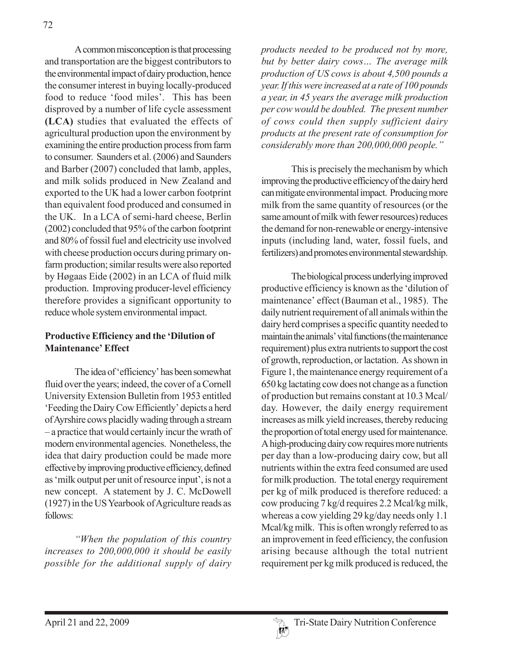A common misconception is that processing and transportation are the biggest contributors to the environmental impact of dairy production, hence the consumer interest in buying locally-produced food to reduce 'food miles'. This has been disproved by a number of life cycle assessment **(LCA)** studies that evaluated the effects of agricultural production upon the environment by examining the entire production process from farm to consumer. Saunders et al. (2006) and Saunders and Barber (2007) concluded that lamb, apples, and milk solids produced in New Zealand and exported to the UK had a lower carbon footprint than equivalent food produced and consumed in the UK. In a LCA of semi-hard cheese, Berlin (2002) concluded that 95% of the carbon footprint and 80% of fossil fuel and electricity use involved with cheese production occurs during primary onfarm production; similar results were also reported by Høgaas Eide (2002) in an LCA of fluid milk production. Improving producer-level efficiency therefore provides a significant opportunity to reduce whole system environmental impact.

#### **Productive Efficiency and the 'Dilution of Maintenance' Effect**

The idea of 'efficiency' has been somewhat fluid over the years; indeed, the cover of a Cornell University Extension Bulletin from 1953 entitled 'Feeding the Dairy Cow Efficiently' depicts a herd of Ayrshire cows placidly wading through a stream – a practice that would certainly incur the wrath of modern environmental agencies. Nonetheless, the idea that dairy production could be made more effective by improving productive efficiency, defined as 'milk output per unit of resource input', is not a new concept. A statement by J. C. McDowell (1927) in the US Yearbook of Agriculture reads as follows:

*"When the population of this country increases to 200,000,000 it should be easily possible for the additional supply of dairy*

*products needed to be produced not by more, but by better dairy cows… The average milk production of US cows is about 4,500 pounds a year. If this were increased at a rate of 100 pounds a year, in 45 years the average milk production per cow would be doubled. The present number of cows could then supply sufficient dairy products at the present rate of consumption for considerably more than 200,000,000 people."*

This is precisely the mechanism by which improving the productive efficiency of the dairy herd can mitigate environmental impact. Producing more milk from the same quantity of resources (or the same amount of milk with fewer resources) reduces the demand for non-renewable or energy-intensive inputs (including land, water, fossil fuels, and fertilizers) and promotes environmental stewardship.

The biological process underlying improved productive efficiency is known as the 'dilution of maintenance' effect (Bauman et al., 1985). The daily nutrient requirement of all animals within the dairy herd comprises a specific quantity needed to maintain the animals' vital functions (the maintenance requirement) plus extra nutrients to support the cost of growth, reproduction, or lactation. As shown in Figure 1, the maintenance energy requirement of a 650 kg lactating cow does not change as a function of production but remains constant at 10.3 Mcal/ day. However, the daily energy requirement increases as milk yield increases, thereby reducing the proportion of total energy used for maintenance. A high-producing dairy cow requires more nutrients per day than a low-producing dairy cow, but all nutrients within the extra feed consumed are used for milk production. The total energy requirement per kg of milk produced is therefore reduced: a cow producing 7 kg/d requires 2.2 Mcal/kg milk, whereas a cow yielding 29 kg/day needs only 1.1 Mcal/kg milk. This is often wrongly referred to as an improvement in feed efficiency, the confusion arising because although the total nutrient requirement per kg milk produced is reduced, the

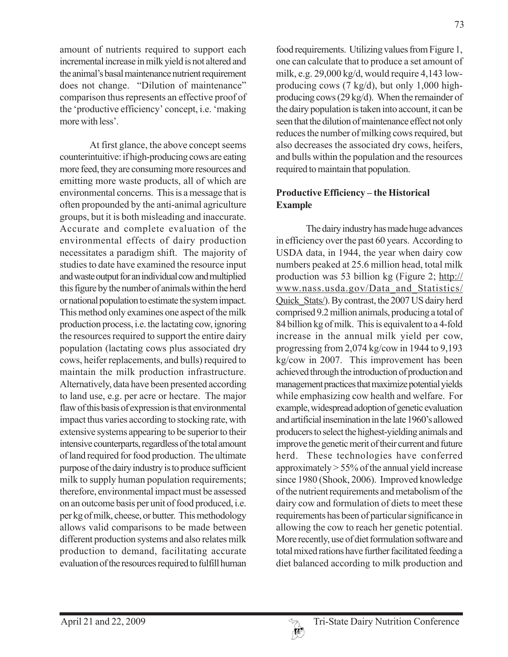amount of nutrients required to support each incremental increase in milk yield is not altered and the animal's basal maintenance nutrient requirement does not change. "Dilution of maintenance" comparison thus represents an effective proof of the 'productive efficiency' concept, i.e. 'making more with less'.

At first glance, the above concept seems counterintuitive: if high-producing cows are eating more feed, they are consuming more resources and emitting more waste products, all of which are environmental concerns. This is a message that is often propounded by the anti-animal agriculture groups, but it is both misleading and inaccurate. Accurate and complete evaluation of the environmental effects of dairy production necessitates a paradigm shift. The majority of studies to date have examined the resource input and waste output for an individual cow and multiplied this figure by the number of animals within the herd or national population to estimate the system impact. This method only examines one aspect of the milk production process, i.e. the lactating cow, ignoring the resources required to support the entire dairy population (lactating cows plus associated dry cows, heifer replacements, and bulls) required to maintain the milk production infrastructure. Alternatively, data have been presented according to land use, e.g. per acre or hectare. The major flaw of this basis of expression is that environmental impact thus varies according to stocking rate, with extensive systems appearing to be superior to their intensive counterparts, regardless of the total amount of land required for food production. The ultimate purpose of the dairy industry is to produce sufficient milk to supply human population requirements; therefore, environmental impact must be assessed on an outcome basis per unit of food produced, i.e. per kg of milk, cheese, or butter. This methodology allows valid comparisons to be made between different production systems and also relates milk production to demand, facilitating accurate evaluation of the resources required to fulfill human

food requirements. Utilizing values from Figure 1, one can calculate that to produce a set amount of milk, e.g. 29,000 kg/d, would require 4,143 lowproducing cows (7 kg/d), but only 1,000 highproducing cows (29 kg/d). When the remainder of the dairy population is taken into account, it can be seen that the dilution of maintenance effect not only reduces the number of milking cows required, but also decreases the associated dry cows, heifers, and bulls within the population and the resources required to maintain that population.

# **Productive Efficiency – the Historical Example**

The dairy industry has made huge advances in efficiency over the past 60 years. According to USDA data, in 1944, the year when dairy cow numbers peaked at 25.6 million head, total milk production was 53 billion kg (Figure 2; http:// www.nass.usda.gov/Data\_and\_Statistics/ Quick Stats/). By contrast, the 2007 US dairy herd comprised 9.2 million animals, producing a total of 84 billion kg of milk. This is equivalent to a 4-fold increase in the annual milk yield per cow, progressing from 2,074 kg/cow in 1944 to 9,193 kg/cow in 2007. This improvement has been achieved through the introduction of production and management practices that maximize potential yields while emphasizing cow health and welfare. For example, widespread adoption of genetic evaluation and artificial insemination in the late 1960's allowed producers to select the highest-yielding animals and improve the genetic merit of their current and future herd. These technologies have conferred approximately > 55% of the annual yield increase since 1980 (Shook, 2006). Improved knowledge of the nutrient requirements and metabolism of the dairy cow and formulation of diets to meet these requirements has been of particular significance in allowing the cow to reach her genetic potential. More recently, use of diet formulation software and total mixed rations have further facilitated feeding a diet balanced according to milk production and

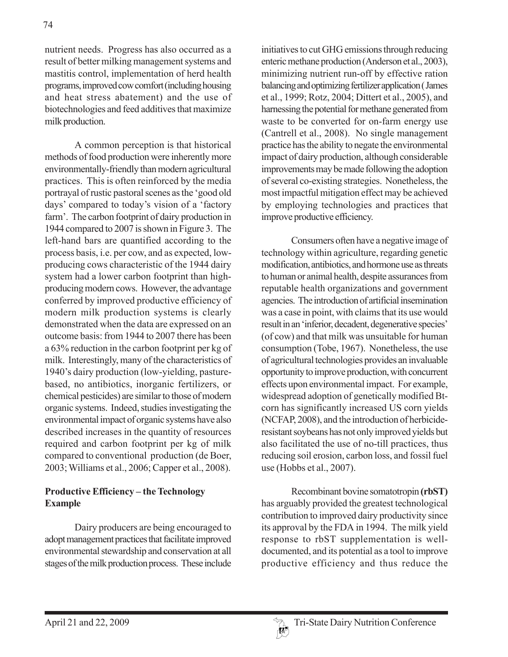nutrient needs. Progress has also occurred as a result of better milking management systems and mastitis control, implementation of herd health programs, improved cow comfort (including housing and heat stress abatement) and the use of biotechnologies and feed additives that maximize milk production.

A common perception is that historical methods of food production were inherently more environmentally-friendly than modern agricultural practices. This is often reinforced by the media portrayal of rustic pastoral scenes as the 'good old days' compared to today's vision of a 'factory farm'. The carbon footprint of dairy production in 1944 compared to 2007 is shown in Figure 3. The left-hand bars are quantified according to the process basis, i.e. per cow, and as expected, lowproducing cows characteristic of the 1944 dairy system had a lower carbon footprint than highproducing modern cows. However, the advantage conferred by improved productive efficiency of modern milk production systems is clearly demonstrated when the data are expressed on an outcome basis: from 1944 to 2007 there has been a 63% reduction in the carbon footprint per kg of milk. Interestingly, many of the characteristics of 1940's dairy production (low-yielding, pasturebased, no antibiotics, inorganic fertilizers, or chemical pesticides) are similar to those of modern organic systems. Indeed, studies investigating the environmental impact of organic systems have also described increases in the quantity of resources required and carbon footprint per kg of milk compared to conventional production (de Boer, 2003; Williams et al., 2006; Capper et al., 2008).

# **Productive Efficiency – the Technology Example**

Dairy producers are being encouraged to adopt management practices that facilitate improved environmental stewardship and conservation at all stages of the milk production process. These include initiatives to cut GHG emissions through reducing enteric methane production (Anderson et al., 2003), minimizing nutrient run-off by effective ration balancing and optimizing fertilizer application ( James et al., 1999; Rotz, 2004; Dittert et al., 2005), and harnessing the potential for methane generated from waste to be converted for on-farm energy use (Cantrell et al., 2008). No single management practice has the ability to negate the environmental impact of dairy production, although considerable improvements may be made following the adoption of several co-existing strategies. Nonetheless, the most impactful mitigation effect may be achieved by employing technologies and practices that improve productive efficiency.

Consumers often have a negative image of technology within agriculture, regarding genetic modification, antibiotics, and hormone use as threats to human or animal health, despite assurances from reputable health organizations and government agencies. The introduction of artificial insemination was a case in point, with claims that its use would result in an 'inferior, decadent, degenerative species' (of cow) and that milk was unsuitable for human consumption (Tobe, 1967). Nonetheless, the use of agricultural technologies provides an invaluable opportunity to improve production, with concurrent effects upon environmental impact. For example, widespread adoption of genetically modified Btcorn has significantly increased US corn yields (NCFAP, 2008), and the introduction of herbicideresistant soybeans has not only improved yields but also facilitated the use of no-till practices, thus reducing soil erosion, carbon loss, and fossil fuel use (Hobbs et al., 2007).

Recombinant bovine somatotropin **(rbST)** has arguably provided the greatest technological contribution to improved dairy productivity since its approval by the FDA in 1994. The milk yield response to rbST supplementation is welldocumented, and its potential as a tool to improve productive efficiency and thus reduce the

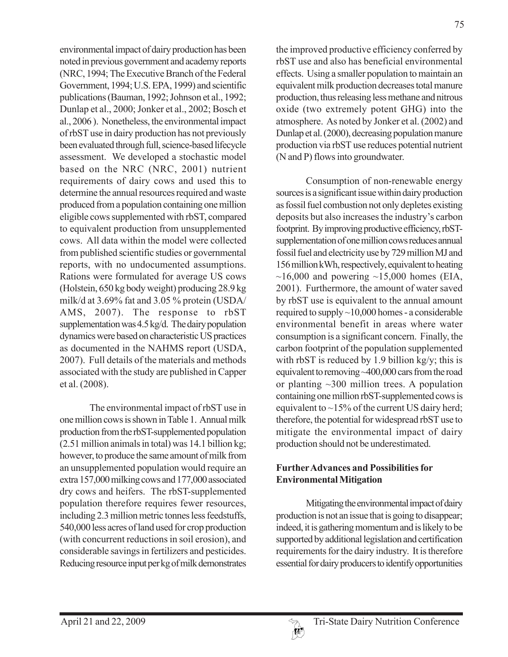environmental impact of dairy production has been noted in previous government and academy reports (NRC, 1994; The Executive Branch of the Federal Government, 1994; U.S. EPA, 1999) and scientific publications (Bauman, 1992; Johnson et al., 1992; Dunlap et al., 2000; Jonker et al., 2002; Bosch et al., 2006 ). Nonetheless, the environmental impact of rbST use in dairy production has not previously been evaluated through full, science-based lifecycle assessment. We developed a stochastic model based on the NRC (NRC, 2001) nutrient requirements of dairy cows and used this to determine the annual resources required and waste produced from a population containing one million eligible cows supplemented with rbST, compared to equivalent production from unsupplemented cows. All data within the model were collected from published scientific studies or governmental reports, with no undocumented assumptions. Rations were formulated for average US cows (Holstein, 650 kg body weight) producing 28.9 kg milk/d at 3.69% fat and 3.05 % protein (USDA/ AMS, 2007). The response to rbST supplementation was 4.5 kg/d. The dairy population dynamics were based on characteristic US practices as documented in the NAHMS report (USDA, 2007). Full details of the materials and methods associated with the study are published in Capper et al. (2008).

The environmental impact of rbST use in one million cows is shown in Table 1. Annual milk production from the rbST-supplemented population (2.51 million animals in total) was 14.1 billion kg; however, to produce the same amount of milk from an unsupplemented population would require an extra 157,000 milking cows and 177,000 associated dry cows and heifers. The rbST-supplemented population therefore requires fewer resources, including 2.3 million metric tonnes less feedstuffs, 540,000 less acres of land used for crop production (with concurrent reductions in soil erosion), and considerable savings in fertilizers and pesticides. Reducing resource input per kg of milk demonstrates

the improved productive efficiency conferred by rbST use and also has beneficial environmental effects. Using a smaller population to maintain an equivalent milk production decreases total manure production, thus releasing less methane and nitrous oxide (two extremely potent GHG) into the atmosphere. As noted by Jonker et al. (2002) and Dunlap et al. (2000), decreasing population manure production via rbST use reduces potential nutrient (N and P) flows into groundwater.

Consumption of non-renewable energy sources is a significant issue within dairy production as fossil fuel combustion not only depletes existing deposits but also increases the industry's carbon footprint. By improving productive efficiency, rbSTsupplementation of one million cows reduces annual fossil fuel and electricity use by 729 million MJ and 156 million kWh, respectively, equivalent to heating  $\sim$ 16,000 and powering  $\sim$ 15,000 homes (EIA, 2001). Furthermore, the amount of water saved by rbST use is equivalent to the annual amount required to supply  $\sim$  10,000 homes - a considerable environmental benefit in areas where water consumption is a significant concern. Finally, the carbon footprint of the population supplemented with rbST is reduced by 1.9 billion kg/y; this is equivalent to removing ~400,000 cars from the road or planting ~300 million trees. A population containing one million rbST-supplemented cows is equivalent to  $\sim$ 15% of the current US dairy herd; therefore, the potential for widespread rbST use to mitigate the environmental impact of dairy production should not be underestimated.

# **Further Advances and Possibilities for Environmental Mitigation**

Mitigating the environmental impact of dairy production is not an issue that is going to disappear; indeed, it is gathering momentum and is likely to be supported by additional legislation and certification requirements for the dairy industry. It is therefore essential for dairy producers to identify opportunities

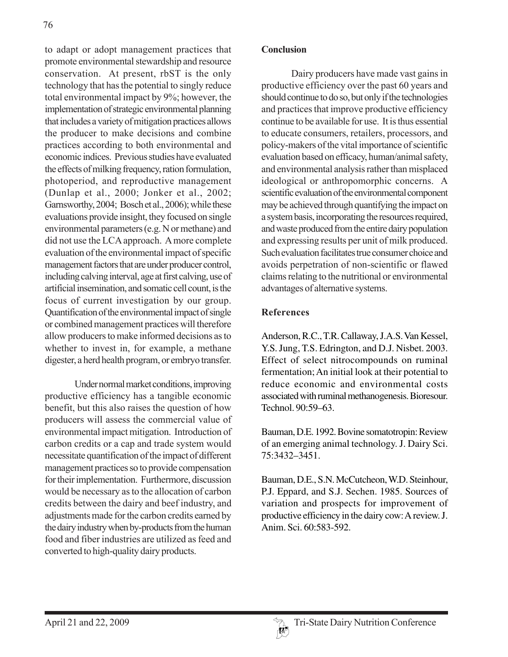to adapt or adopt management practices that promote environmental stewardship and resource conservation. At present, rbST is the only technology that has the potential to singly reduce total environmental impact by 9%; however, the implementation of strategic environmental planning that includes a variety of mitigation practices allows the producer to make decisions and combine practices according to both environmental and economic indices. Previous studies have evaluated the effects of milking frequency, ration formulation, photoperiod, and reproductive management (Dunlap et al., 2000; Jonker et al., 2002; Garnsworthy, 2004; Bosch et al., 2006); while these evaluations provide insight, they focused on single environmental parameters (e.g. N or methane) and did not use the LCA approach. A more complete evaluation of the environmental impact of specific management factors that are under producer control, including calving interval, age at first calving, use of artificial insemination, and somatic cell count, is the focus of current investigation by our group. Quantification of the environmental impact of single or combined management practices will therefore allow producers to make informed decisions as to whether to invest in, for example, a methane digester, a herd health program, or embryo transfer.

Under normal market conditions, improving productive efficiency has a tangible economic benefit, but this also raises the question of how producers will assess the commercial value of environmental impact mitigation. Introduction of carbon credits or a cap and trade system would necessitate quantification of the impact of different management practices so to provide compensation for their implementation. Furthermore, discussion would be necessary as to the allocation of carbon credits between the dairy and beef industry, and adjustments made for the carbon credits earned by the dairy industry when by-products from the human food and fiber industries are utilized as feed and converted to high-quality dairy products.

#### **Conclusion**

Dairy producers have made vast gains in productive efficiency over the past 60 years and should continue to do so, but only if the technologies and practices that improve productive efficiency continue to be available for use. It is thus essential to educate consumers, retailers, processors, and policy-makers of the vital importance of scientific evaluation based on efficacy, human/animal safety, and environmental analysis rather than misplaced ideological or anthropomorphic concerns. A scientific evaluation of the environmental component may be achieved through quantifying the impact on a system basis, incorporating the resources required, and waste produced from the entire dairy population and expressing results per unit of milk produced. Such evaluation facilitates true consumer choice and avoids perpetration of non-scientific or flawed claims relating to the nutritional or environmental advantages of alternative systems.

# **References**

Anderson, R.C., T.R. Callaway, J.A.S. Van Kessel, Y.S. Jung, T.S. Edrington, and D.J. Nisbet. 2003. Effect of select nitrocompounds on ruminal fermentation; An initial look at their potential to reduce economic and environmental costs associated with ruminal methanogenesis. Bioresour. Technol. 90:59–63.

Bauman, D.E. 1992. Bovine somatotropin: Review of an emerging animal technology. J. Dairy Sci. 75:3432–3451.

Bauman, D.E., S.N. McCutcheon, W.D. Steinhour, P.J. Eppard, and S.J. Sechen. 1985. Sources of variation and prospects for improvement of productive efficiency in the dairy cow: A review. J. Anim. Sci. 60:583-592.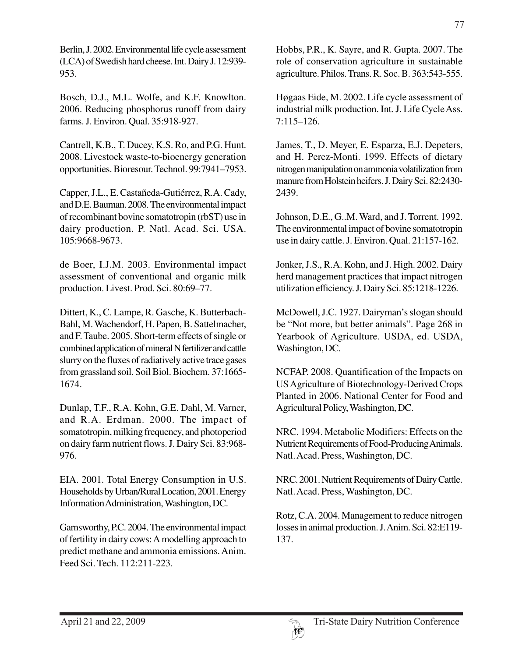Berlin, J. 2002. Environmental life cycle assessment (LCA) of Swedish hard cheese. Int. Dairy J. 12:939- 953.

Bosch, D.J., M.L. Wolfe, and K.F. Knowlton. 2006. Reducing phosphorus runoff from dairy farms. J. Environ. Qual. 35:918-927.

Cantrell, K.B., T. Ducey, K.S. Ro, and P.G. Hunt. 2008. Livestock waste-to-bioenergy generation opportunities. Bioresour. Technol. 99:7941–7953.

Capper, J.L., E. Castañeda-Gutiérrez, R.A. Cady, and D.E. Bauman. 2008. The environmental impact of recombinant bovine somatotropin (rbST) use in dairy production. P. Natl. Acad. Sci. USA. 105:9668-9673.

de Boer, I.J.M. 2003. Environmental impact assessment of conventional and organic milk production. Livest. Prod. Sci. 80:69–77.

Dittert, K., C. Lampe, R. Gasche, K. Butterbach-Bahl, M. Wachendorf, H. Papen, B. Sattelmacher, and F. Taube. 2005. Short-term effects of single or combined application of mineral N fertilizer and cattle slurry on the fluxes of radiatively active trace gases from grassland soil. Soil Biol. Biochem. 37:1665- 1674.

Dunlap, T.F., R.A. Kohn, G.E. Dahl, M. Varner, and R.A. Erdman. 2000. The impact of somatotropin, milking frequency, and photoperiod on dairy farm nutrient flows. J. Dairy Sci. 83:968- 976.

EIA. 2001. Total Energy Consumption in U.S. Households by Urban/Rural Location, 2001. Energy Information Administration, Washington, DC.

Garnsworthy, P.C. 2004. The environmental impact of fertility in dairy cows: A modelling approach to predict methane and ammonia emissions. Anim. Feed Sci. Tech. 112:211-223.

Hobbs, P.R., K. Sayre, and R. Gupta. 2007. The role of conservation agriculture in sustainable agriculture. Philos. Trans. R. Soc. B. 363:543-555.

Høgaas Eide, M. 2002. Life cycle assessment of industrial milk production. Int. J. Life Cycle Ass. 7:115–126.

James, T., D. Meyer, E. Esparza, E.J. Depeters, and H. Perez-Monti. 1999. Effects of dietary nitrogen manipulation on ammonia volatilization from manure from Holstein heifers. J. Dairy Sci. 82:2430- 2439.

Johnson, D.E., G..M. Ward, and J. Torrent. 1992. The environmental impact of bovine somatotropin use in dairy cattle. J. Environ. Qual. 21:157-162.

Jonker, J.S., R.A. Kohn, and J. High. 2002. Dairy herd management practices that impact nitrogen utilization efficiency. J. Dairy Sci. 85:1218-1226.

McDowell, J.C. 1927. Dairyman's slogan should be "Not more, but better animals". Page 268 in Yearbook of Agriculture. USDA, ed. USDA, Washington, DC.

NCFAP. 2008. Quantification of the Impacts on US Agriculture of Biotechnology-Derived Crops Planted in 2006. National Center for Food and Agricultural Policy, Washington, DC.

NRC. 1994. Metabolic Modifiers: Effects on the Nutrient Requirements of Food-Producing Animals. Natl. Acad. Press, Washington, DC.

NRC. 2001. Nutrient Requirements of Dairy Cattle. Natl. Acad. Press, Washington, DC.

Rotz, C.A. 2004. Management to reduce nitrogen losses in animal production. J. Anim. Sci. 82:E119- 137.

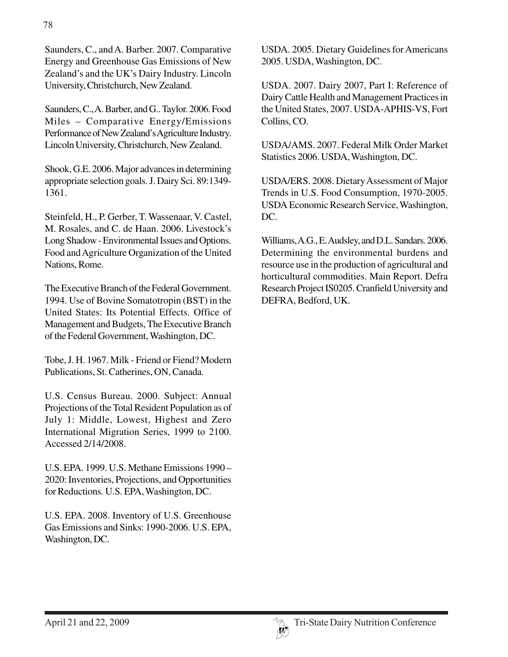Saunders, C., and A. Barber. 2007. Comparative Energy and Greenhouse Gas Emissions of New Zealand's and the UK's Dairy Industry. Lincoln University, Christchurch, New Zealand.

Saunders, C., A. Barber, and G.. Taylor. 2006. Food Miles – Comparative Energy/Emissions Performance of New Zealand's Agriculture Industry. Lincoln University, Christchurch, New Zealand.

Shook, G.E. 2006. Major advances in determining appropriate selection goals. J. Dairy Sci. 89:1349- 1361.

Steinfeld, H., P. Gerber, T. Wassenaar, V. Castel, M. Rosales, and C. de Haan. 2006. Livestock's Long Shadow - Environmental Issues and Options. Food and Agriculture Organization of the United Nations, Rome.

The Executive Branch of the Federal Government. 1994. Use of Bovine Somatotropin (BST) in the United States: Its Potential Effects. Office of Management and Budgets, The Executive Branch of the Federal Government, Washington, DC.

Tobe, J. H. 1967. Milk - Friend or Fiend? Modern Publications, St. Catherines, ON, Canada.

U.S. Census Bureau. 2000. Subject: Annual Projections of the Total Resident Population as of July 1: Middle, Lowest, Highest and Zero International Migration Series, 1999 to 2100. Accessed 2/14/2008.

U.S. EPA. 1999. U.S. Methane Emissions 1990 – 2020: Inventories, Projections, and Opportunities for Reductions. U.S. EPA, Washington, DC.

U.S. EPA. 2008. Inventory of U.S. Greenhouse Gas Emissions and Sinks: 1990-2006. U.S. EPA, Washington, DC.

USDA. 2005. Dietary Guidelines for Americans 2005. USDA, Washington, DC.

USDA. 2007. Dairy 2007, Part I: Reference of Dairy Cattle Health and Management Practices in the United States, 2007. USDA-APHIS-VS, Fort Collins, CO.

USDA/AMS. 2007. Federal Milk Order Market Statistics 2006. USDA, Washington, DC.

USDA/ERS. 2008. Dietary Assessment of Major Trends in U.S. Food Consumption, 1970-2005. USDA Economic Research Service, Washington, DC.

Williams, A.G., E. Audsley, and D.L. Sandars. 2006. Determining the environmental burdens and resource use in the production of agricultural and horticultural commodities. Main Report. Defra Research Project IS0205. Cranfield University and DEFRA, Bedford, UK.

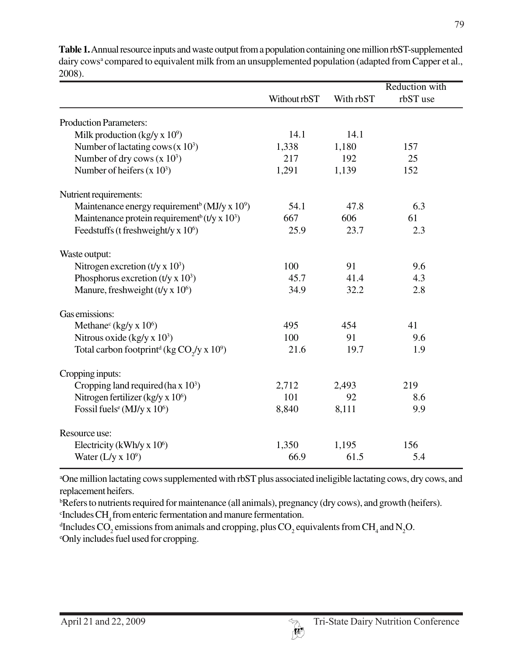|                                                                                | Without rbST | With rbST | <b>Reduction</b> with<br>rbST use |
|--------------------------------------------------------------------------------|--------------|-----------|-----------------------------------|
| <b>Production Parameters:</b>                                                  |              |           |                                   |
| Milk production (kg/y x $10^9$ )                                               | 14.1         | 14.1      |                                   |
| Number of lactating cows $(x 10^3)$                                            | 1,338        | 1,180     | 157                               |
| Number of dry cows $(x 10^3)$                                                  | 217          | 192       | 25                                |
| Number of heifers $(x 10^3)$                                                   | 1,291        | 1,139     | 152                               |
| Nutrient requirements:                                                         |              |           |                                   |
| Maintenance energy requirement <sup>b</sup> (MJ/y x $10^9$ )                   | 54.1         | 47.8      | 6.3                               |
| Maintenance protein requirement <sup>b</sup> (t/y x $10^3$ )                   | 667          | 606       | 61                                |
| Feedstuffs (t freshweight/y x $106$ )                                          | 25.9         | 23.7      | 2.3                               |
| Waste output:                                                                  |              |           |                                   |
| Nitrogen excretion $(t/y \times 10^3)$                                         | 100          | 91        | 9.6                               |
| Phosphorus excretion $(t/y \times 10^3)$                                       | 45.7         | 41.4      | 4.3                               |
| Manure, freshweight $(t/\gamma \times 10^6)$                                   | 34.9         | 32.2      | 2.8                               |
| Gas emissions:                                                                 |              |           |                                   |
| Methane <sup>c</sup> (kg/y x $106$ )                                           | 495          | 454       | 41                                |
| Nitrous oxide (kg/y x $10^3$ )                                                 | 100          | 91        | 9.6                               |
| Total carbon footprint <sup>d</sup> (kg CO <sub>2</sub> /y x 10 <sup>9</sup> ) | 21.6         | 19.7      | 1.9                               |
| Cropping inputs:                                                               |              |           |                                   |
| Cropping land required (ha $x 103$ )                                           | 2,712        | 2,493     | 219                               |
| Nitrogen fertilizer (kg/y x $10^6$ )                                           | 101          | 92        | 8.6                               |
| Fossil fuels <sup>e</sup> (MJ/y x $106$ )                                      | 8,840        | 8,111     | 9.9                               |
| Resource use:                                                                  |              |           |                                   |
| Electricity (kWh/y x $10^6$ )                                                  | 1,350        | 1,195     | 156                               |
| Water $(L/y \times 10^9)$                                                      | 66.9         | 61.5      | 5.4                               |

**Table 1.** Annual resource inputs and waste output from a population containing one million rbST-supplemented dairy cows<sup>a</sup> compared to equivalent milk from an unsupplemented population (adapted from Capper et al., 2008).

a One million lactating cows supplemented with rbST plus associated ineligible lactating cows, dry cows, and replacement heifers.

b Refers to nutrients required for maintenance (all animals), pregnancy (dry cows), and growth (heifers).

 $\mathrm{c}$ Includes CH<sub>4</sub> from enteric fermentation and manure fermentation.

 $\rm ^dIncludes\,CO_2$  emissions from animals and cropping, plus  $\rm CO_2$  equivalents from  $\rm CH_4$  and  $\rm N_2O.$ e Only includes fuel used for cropping.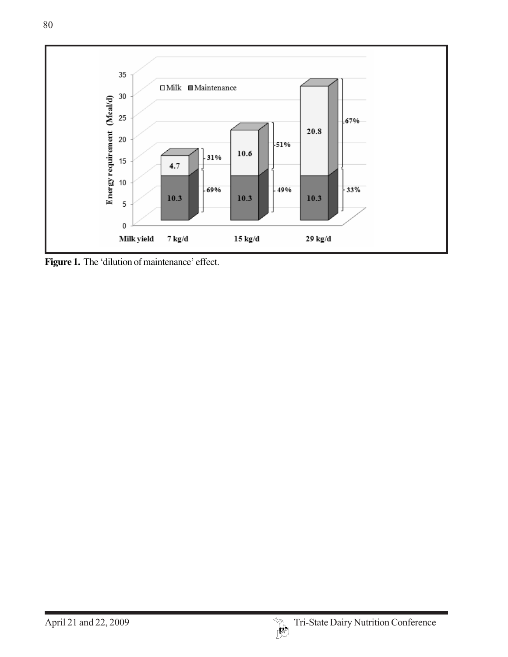

Figure 1. The 'dilution of maintenance' effect.

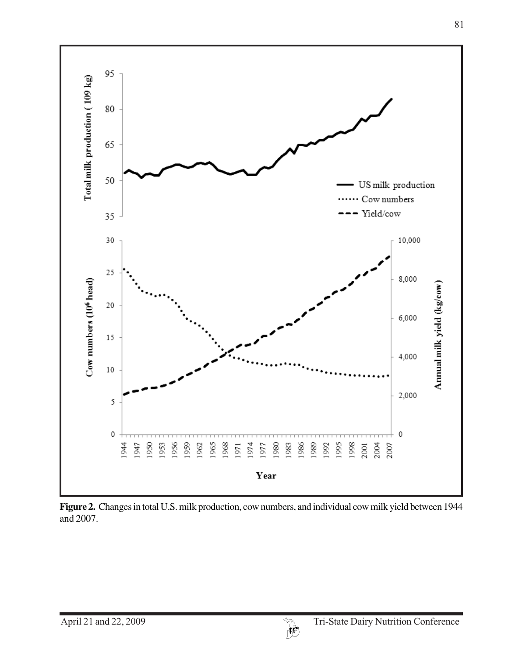

**Figure 2.** Changes in total U.S. milk production, cow numbers, and individual cow milk yield between 1944 and 2007.